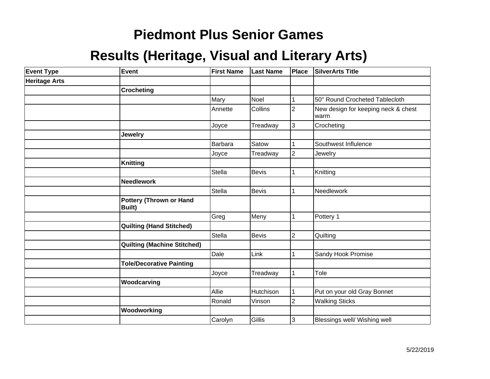# **Piedmont Plus Senior Games**

### **Results (Heritage, Visual and Literary Arts)**

| <b>Event Type</b>    | Event                                           | <b>First Name</b> | <b>Last Name</b> | Place          | SilverArts Title                             |
|----------------------|-------------------------------------------------|-------------------|------------------|----------------|----------------------------------------------|
| <b>Heritage Arts</b> |                                                 |                   |                  |                |                                              |
|                      | <b>Crocheting</b>                               |                   |                  |                |                                              |
|                      |                                                 | Mary              | Noel             |                | 50" Round Crocheted Tablecloth               |
|                      |                                                 | Annette           | Collins          | $\overline{2}$ | New design for keeping neck & chest<br>lwarm |
|                      |                                                 | Joyce             | Treadway         | 3              | Crocheting                                   |
|                      | <b>Jewelry</b>                                  |                   |                  |                |                                              |
|                      |                                                 | Barbara           | Satow            |                | Southwest Influlence                         |
|                      |                                                 | Joyce             | Treadway         | $\overline{2}$ | Jewelry                                      |
|                      | <b>Knitting</b>                                 |                   |                  |                |                                              |
|                      |                                                 | Stella            | <b>Bevis</b>     | 1              | Knitting                                     |
|                      | <b>Needlework</b>                               |                   |                  |                |                                              |
|                      |                                                 | Stella            | <b>Bevis</b>     | 1              | Needlework                                   |
|                      | <b>Pottery (Thrown or Hand</b><br><b>Built)</b> |                   |                  |                |                                              |
|                      |                                                 | Greg              | Meny             | 1              | Pottery 1                                    |
|                      | <b>Quilting (Hand Stitched)</b>                 |                   |                  |                |                                              |
|                      |                                                 | <b>Stella</b>     | <b>Bevis</b>     | $\overline{c}$ | Quilting                                     |
|                      | <b>Quilting (Machine Stitched)</b>              |                   |                  |                |                                              |
|                      |                                                 | Dale              | Link             |                | Sandy Hook Promise                           |
|                      | <b>Tole/Decorative Painting</b>                 |                   |                  |                |                                              |
|                      |                                                 | Joyce             | Treadway         |                | Tole                                         |
|                      | Woodcarving                                     |                   |                  |                |                                              |
|                      |                                                 | Allie             | Hutchison        |                | Put on your old Gray Bonnet                  |
|                      |                                                 | Ronald            | Vinson           | $\overline{c}$ | <b>Walking Sticks</b>                        |
|                      | Woodworking                                     |                   |                  |                |                                              |
|                      |                                                 | Carolyn           | Gillis           | 3              | Blessings well/ Wishing well                 |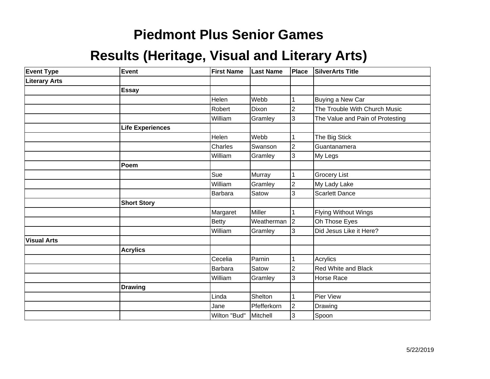# **Piedmont Plus Senior Games**

### **Results (Heritage, Visual and Literary Arts)**

| <b>Event Type</b>    | Event                   | <b>First Name</b> | <b>Last Name</b> | Place          | <b>SilverArts Title</b>          |
|----------------------|-------------------------|-------------------|------------------|----------------|----------------------------------|
| <b>Literary Arts</b> |                         |                   |                  |                |                                  |
|                      | <b>Essay</b>            |                   |                  |                |                                  |
|                      |                         | Helen             | Webb             | 1              | Buying a New Car                 |
|                      |                         | Robert            | Dixon            | $\overline{2}$ | The Trouble With Church Music    |
|                      |                         | William           | Gramley          | 3              | The Value and Pain of Protesting |
|                      | <b>Life Experiences</b> |                   |                  |                |                                  |
|                      |                         | Helen             | Webb             | 1              | The Big Stick                    |
|                      |                         | Charles           | Swanson          | $\overline{2}$ | Guantanamera                     |
|                      |                         | William           | Gramley          | 3              | My Legs                          |
|                      | Poem                    |                   |                  |                |                                  |
|                      |                         | Sue               | Murray           | 1              | <b>Grocery List</b>              |
|                      |                         | William           | Gramley          | $\overline{2}$ | My Lady Lake                     |
|                      |                         | <b>Barbara</b>    | Satow            | 3              | <b>Scarlett Dance</b>            |
|                      | <b>Short Story</b>      |                   |                  |                |                                  |
|                      |                         | Margaret          | Miller           | 1              | <b>Flying Without Wings</b>      |
|                      |                         | <b>Betty</b>      | Weatherman       | $\vert$ 2      | Oh Those Eyes                    |
|                      |                         | William           | Gramley          | 3              | Did Jesus Like it Here?          |
| <b>Visual Arts</b>   |                         |                   |                  |                |                                  |
|                      | <b>Acrylics</b>         |                   |                  |                |                                  |
|                      |                         | Cecelia           | Parnin           | 1              | Acrylics                         |
|                      |                         | <b>Barbara</b>    | Satow            | $\overline{2}$ | Red White and Black              |
|                      |                         | William           | Gramley          | 3              | Horse Race                       |
|                      | <b>Drawing</b>          |                   |                  |                |                                  |
|                      |                         | Linda             | Shelton          | 1              | Pier View                        |
|                      |                         | Jane              | Pfefferkorn      | $\overline{2}$ | Drawing                          |
|                      |                         | Wilton "Bud"      | Mitchell         | 3              | Spoon                            |